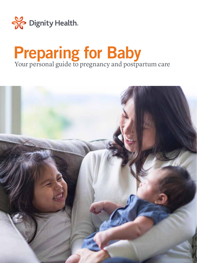

## **Preparing for Baby** Your personal guide to pregnancy and postpartum care

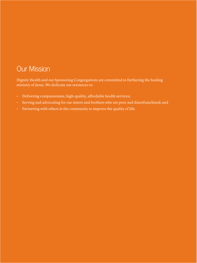## Our Mission

Dignity Health and our Sponsoring Congregations are committed to furthering the healing ministry of Jesus. We dedicate our resources to:

- Delivering compassionate, high-quality, affordable health services;
- Serving and advocating for our sisters and brothers who are poor and disenfranchised; and
- Partnering with others in the community to improve the quality of life.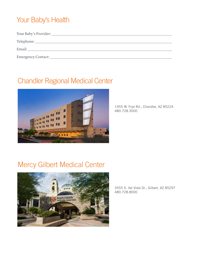## Your Baby's Health

| Telephone: New York Changes and Telephone:                                                                                                                                                                                     |
|--------------------------------------------------------------------------------------------------------------------------------------------------------------------------------------------------------------------------------|
| Email: The contract of the contract of the contract of the contract of the contract of the contract of the contract of the contract of the contract of the contract of the contract of the contract of the contract of the con |
| Emergency Contact:                                                                                                                                                                                                             |
|                                                                                                                                                                                                                                |

## Chandler Regional Medical Center



1955 W. Frye Rd., Chandler, AZ 85224 480.728.3000

## Mercy Gilbert Medical Center



3555 S. Val Vista Dr., Gilbert, AZ 85297 480.728.8000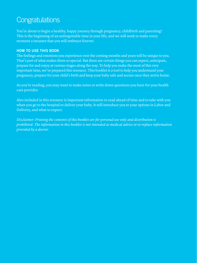## **Congratulations**

You're about to begin a healthy, happy journey through pregnancy, childbirth and parenting! This is the beginning of an unforgettable time in your life, and we will work to make every moment a treasure that you will embrace forever.

#### **HOW TO USE THIS BOOK**

The feelings and emotions you experience over the coming months and years will be unique to you. That's part of what makes them so special. But there are certain things you can expect, anticipate, prepare for and enjoy at various stages along the way. To help you make the most of this very important time, we've prepared this resource. This booklet is a tool to help you understand your pregnancy, prepare for your child's birth and keep your baby safe and secure once they arrive home.

As you're reading, you may want to make notes or write down questions you have for your health care provider.

Also included in this resource is important information to read ahead of time and to take with you when you go to the hospital to deliver your baby. It will introduce you to your options in Labor and Delivery, and what to expect.

*Disclaimer: Printing the contents of this booklet are for personal use only and distribution is prohibited. The information in this booklet is not intended as medical advice or to replace information provided by a doctor.*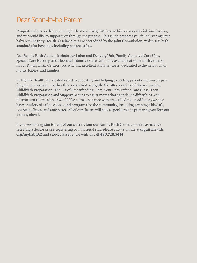## Dear Soon-to-be Parent

Congratulations on the upcoming birth of your baby! We know this is a very special time for you, and we would like to support you through the process. This guide prepares you for delivering your baby with Dignity Health. Our hospitals are accredited by the Joint Commission, which sets high standards for hospitals, including patient safety.

Our Family Birth Centers include our Labor and Delivery Unit, Family Centered Care Unit, Special Care Nursery, and Neonatal Intensive Care Unit (only available at some birth centers). In our Family Birth Centers, you will find excellent staff members, dedicated to the health of all moms, babies, and families.

At Dignity Health, we are dedicated to educating and helping expecting parents like you prepare for your new arrival, whether this is your first or eighth! We offer a variety of classes, such as Childbirth Preparation, The Art of Breastfeeding, Baby Your Baby Infant Care Class, Teen Childbirth Preparation and Support Groups to assist moms that experience difficulties with Postpartum Depression or would like extra assistance with breastfeeding. In addition, we also have a variety of safety classes and programs for the community, including Keeping Kids Safe, Car Seat Clinics, and Safe Sitter. All of our classes will play a special role in preparing you for your journey ahead.

If you wish to register for any of our classes, tour our Family Birth Center, or need assistance selecting a doctor or pre-registering your hospital stay, please visit us online at **dignityhealth. org/mybabyAZ** and select classes and events or call **480.728.5414**.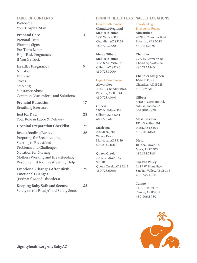| <b>TABLE OF CONTENTS</b>                                                                                                                                                                                                                                                                                |              |                                                                                                                                                              | <b>DIGNITY HEALTH EAST VALLEY LOCATIONS</b>                                                                                                                           |
|---------------------------------------------------------------------------------------------------------------------------------------------------------------------------------------------------------------------------------------------------------------------------------------------------------|--------------|--------------------------------------------------------------------------------------------------------------------------------------------------------------|-----------------------------------------------------------------------------------------------------------------------------------------------------------------------|
| Welcome<br>Your Hospital Stay                                                                                                                                                                                                                                                                           | $\mathbf{1}$ | <b>Family Birth Centers</b><br><b>Chandler Regional</b>                                                                                                      | Freestanding<br><b>Emergency Rooms</b>                                                                                                                                |
| <b>Prenatal Care</b><br><b>Prenatal Tests</b><br><b>Warning Signs</b><br>Pre-Term Labor                                                                                                                                                                                                                 | 3            | <b>Medical Center</b><br>1955 W. Frye Rd.<br>Chandler, AZ 85224<br>480.728.3000                                                                              | Ahwatukee<br>4328 E. Chandler Blvd.<br>Phoenix, AZ 85048<br>480.454.3630                                                                                              |
| <b>High-Risk Pregnancies</b><br>If You Get Sick                                                                                                                                                                                                                                                         |              | <b>Mercy Gilbert</b><br><b>Medical Center</b>                                                                                                                | Chandler<br>2977 E. Germann Rd.                                                                                                                                       |
| <b>Healthy Pregnancy</b><br>Nutrition                                                                                                                                                                                                                                                                   | 9            | 3555 S. Val Vista Dr.<br>Gilbert, AZ 85296<br>480.728.8000                                                                                                   | Chandler, AZ 85286<br>480.732.7540                                                                                                                                    |
| Exercise<br><b>Stress</b><br>Smoking<br>Substance Abuse<br><b>Common Discomforts and Solutions</b>                                                                                                                                                                                                      |              | <b>Urgent Care Centers</b><br>Ahwatukee<br>4545 E. Chandler Blvd.<br>Phoenix, AZ 85044<br>480.728.4000                                                       | <b>Chandler McQueen</b><br>1064 E. Ray Rd.<br>Chandler, AZ 85225<br>480.494.5100<br>Gilbert                                                                           |
| <b>Prenatal Education</b><br><b>Breathing Exercises</b>                                                                                                                                                                                                                                                 | 17           | Gilbert<br>1501 N. Gilbert Rd.                                                                                                                               | 4760 E. Germann Rd.<br>Gilbert, AZ 85297<br>602.900.4870                                                                                                              |
| <b>Just for Dad</b><br>Your Role in Labor & Delivery                                                                                                                                                                                                                                                    | 23           | Gilbert, AZ 85234<br>480.728.4100                                                                                                                            | Mesa-Baseline                                                                                                                                                         |
| <b>Hospital Preparation Checklist</b>                                                                                                                                                                                                                                                                   | 25           | Maricopa                                                                                                                                                     | 1910 S. Gilbert Rd.<br>Mesa, AZ 85204                                                                                                                                 |
| <b>Breastfeeding Basics</b><br>Preparing for Breastfeeding<br><b>Starting to Breastfeed</b><br>Problems and Challenges<br><b>Nutrition for Nursing</b><br>Mothers Working and Breastfeeding<br>Resource List for Breastfeeding Help<br><b>Emotional Changes After Birth</b><br><b>Emotional Changes</b> | 26<br>29     | 20750 N. John<br>Wayne Pkwy.<br>Maricopa, AZ 85139<br>520.233.2468<br>Queen Creek<br>7205 S. Power Rd.,<br>Ste. 101<br>Queen Creek, AZ 85242<br>480.728.6000 | 480.410.6150<br><b>Mesa</b><br>1833 N. Power Rd.<br>Mesa, AZ 85205<br>480.398.7340<br>San Tan Valley<br>1419 W. Hunt Hwy.<br>San Tan Valley, AZ 85143<br>480.245.4300 |
| (Perinatal Mood Disorders)                                                                                                                                                                                                                                                                              |              |                                                                                                                                                              | Tempe                                                                                                                                                                 |
| <b>Keeping Baby Safe and Secure</b><br>Safety on the Road/Child Safety Seats                                                                                                                                                                                                                            | 32           |                                                                                                                                                              | 5125 S. Rural Rd.<br>Tempe, AZ 85282                                                                                                                                  |



480.306.8780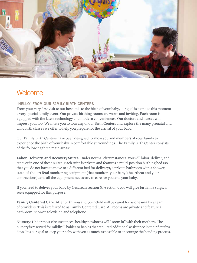

## **Welcome**

#### **"HELLO" FROM OUR FAMILY BIRTH CENTERS**

From your very first visit to our hospitals to the birth of your baby, our goal is to make this moment a very special family event. Our private birthing rooms are warm and inviting. Each room is equipped with the latest technology and modern conveniences. Our doctors and nurses will impress you, too. We invite you to tour any of our Birth Centers and explore the many prenatal and childbirth classes we offer to help you prepare for the arrival of your baby.

Our Family Birth Centers have been designed to allow you and members of your family to experience the birth of your baby in comfortable surroundings. The Family Birth Center consists of the following three main areas:

**Labor, Delivery, and Recovery Suites**: Under normal circumstances, you will labor, deliver, and recover in one of these suites. Each suite is private and features a multi-position birthing bed (so that you do not have to move to a different bed for delivery), a private bathroom with a shower, state-of-the-art fetal monitoring equipment (that monitors your baby's heartbeat and your contractions), and all the equipment necessary to care for you and your baby.

If you need to deliver your baby by Cesarean section (C-section), you will give birth in a surgical suite equipped for this purpose.

**Family Centered Care**: After birth, you and your child will be cared for as one unit by a team of providers. This is referred to as Family Centered Care. All rooms are private and feature a bathroom, shower, television and telephone.

**Nursery**: Under most circumstances, healthy newborns will "room in" with their mothers. The nursery is reserved for mildly ill babies or babies that required additional assistance in their first few days. It is our goal to keep your baby with you as much as possible to encourage the bonding process.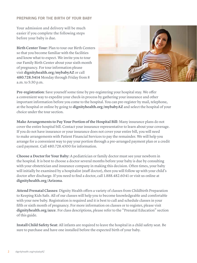#### **PREPARING FOR THE BIRTH OF YOUR BABY**

Your admission and delivery will be much easier if you complete the following steps before your baby is due.

**Birth Center Tour**: Plan to tour our Birth Centers so that you become familiar with the facilities and know what to expect. We invite you to tour our Family Birth Center about your sixth month of pregnancy. For tour information please visit **dignityhealth.org/mybabyAZ** or call **480.728.5414** Monday through Friday from 8 a.m. to 5:30 p.m.



**Pre-registration**: Save yourself some time by pre-registering your hospital stay. We offer a convenient way to expedite your check-in process by gathering your insurance and other important information before you come to the hospital. You can pre-register by mail, telephone, at the hospital or online by going to **dignityhealth.org/mybabyAZ** and select the hospital of your choice under the tour section.

**Make Arrangements to Pay Your Portion of the Hospital Bill**: Many insurance plans do not cover the entire hospital bill. Contact your insurance representative to learn about your coverage. If you do not have insurance or your insurance does not cover your entire bill, you will need to make arrangements with Patient Financial Services to pay the remainder. We will help you arrange for a convenient way to pay your portion through a pre-arranged payment plan or a credit card payment. Call 480.728.4300 for information.

**Choose a Doctor for Your Baby:** A pediatrician or family doctor must see your newborn in the hospital. It is best to choose a doctor several months before your baby is due by consulting with your obstetrician and insurance company in making this decision. Often times, your baby will initially be examined by a hospitalist (staff doctor), then you will follow up with your child's doctor after discharge. If you need to find a doctor, call 1.888.482.6041 or visit us online at **dignityhealth.org/Arizona**.

**Attend Prenatal Classes**: Dignity Health offers a variety of classes from Childbirth Preparation to Keeping Kids Safe. All of our classes will help you to become knowledgeable and comfortable with your new baby. Registration is required and it is best to call and schedule classes in your fifth or sixth month of pregnancy. For more information on classes or to register, please visit **dignityhealth.org/azce**. For class descriptions, please refer to the "Prenatal Education" section of this guide.

**Install Child Safety Seat**: All infants are required to leave the hospital in a child safety seat. Be sure to purchase and have one installed before the expected birth of your baby.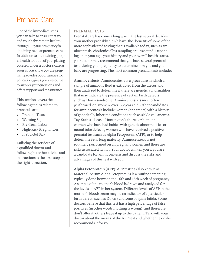## Prenatal Care

One of the immediate steps you can take to ensure that you and your baby remain healthy throughout your pregnancy is obtaining regular prenatal care. In addition to maintaining proper health for both of you, placing yourself under a doctor's care as soon as you know you are pregnant provides opportunities for education, gives you a resource to answer your questions and offers support and reassurance.

This section covers the following topics related to prenatal care:

- Prenatal Tests
- Warning Signs
- Pre-Term Labor
- High-Risk Pregnancies
- If You Get Sick

Enlisting the services of a qualified doctor and following his or her advice and instructions is the first step in the right direction.

#### **PRENATAL TESTS**

Prenatal care has come a long way in the last several decades. Your mother probably didn't have the benefits of some of the more sophisticated testing that is available today, such as amniocentesis, chorionic villus sampling or ultrasound. Depending upon your age, your history and your overall health status, your doctor may recommend that you have several prenatal tests during your pregnancy to determine how you and your baby are progressing. The most common prenatal tests include:

**Amniocentesis:** Amniocentesis is a procedure in which a sample of amniotic fluid is extracted from the uterus and then analyzed to determine if there are genetic abnormalities that may indicate the presence of certain birth defects, such as Down syndrome. Amniocentesis is most often performed on women over 35 years old. Other candidates for amniocentesis include women (or parents) with a history of genetically inherited conditions such as sickle cell anemia, Tay-Sach's disease, Huntington's chorea or hemophilia; women who have had babies with genetic abnormalities or neural tube defects, women who have received a positive prenatal test such as Alpha Fetoprotein (AFP), or to help determine fetal lung maturity. Amniocentesis is not routinely performed on all pregnant women and there are risks associated with it. Your doctor will tell you if you are a candidate for amniocentesis and discuss the risks and advantages of this test with you.

**Alpha Fetoprotein (AFP)**: AFP testing (also known as Maternal-Serum Alpha Fetoprotein) is a routine screening typically done between the 16th and 18th week of pregnancy. A sample of the mother's blood is drawn and analyzed for the levels of AFP in her system. Different levels of AFP in the mother's bloodstream may be an indicator of a particular birth defect, such as Down syndrome or spina bifida. Some doctors believe that this test has a high percentage of false positives (in other words, nothing is wrong), and therefore don't offer it; others leave it up to the patient. Talk with your doctor about the merits of the AFP test and whether he or she recommends it for you.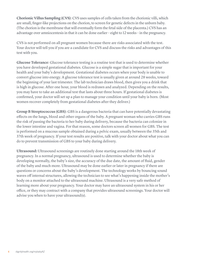**Chorionic Villus Sampling (CVS)**: CVS uses samples of cells taken from the chorionic villi, which are small, finger-like projections on the chorion, to screen for genetic defects in the unborn baby. (The chorion is the membrane that will eventually form the fetal side of the placenta.) CVS has an advantage over amniocentesis in that it can be done earlier – eight to 12 weeks – in the pregnancy.

CVS is not performed on all pregnant women because there are risks associated with the test. Your doctor will tell you if you are a candidate for CVS and discuss the risks and advantages of this test with you.

**Glucose Tolerance**: Glucose tolerance testing is a routine test that is used to determine whether you have developed gestational diabetes. Glucose is a simple sugar that is important for your health and your baby's development. Gestational diabetes occurs when your body is unable to convert glucose into energy. A glucose tolerance test is usually given at around 28 weeks, toward the beginning of your last trimester. The lab technician draws blood, then gives you a drink that is high in glucose. After one hour, your blood is redrawn and analyzed. Depending on the results, you may have to take an additional test that lasts about three hours. If gestational diabetes is confirmed, your doctor will set up a plan to manage your condition until your baby is born. (Most women recover completely from gestational diabetes after they deliver.)

**Group B Streptococcus (GBS)**: GBS is a dangerous bacteria that can have potentially devastating effects on the lungs, blood and other organs of the baby. A pregnant woman who carries GBS runs the risk of passing the bacteria to her baby during delivery, because the bacteria can colonize in the lower intestine and vagina. For that reason, some doctors screen all women for GBS. The test is performed on a mucous sample obtained during a pelvic exam, usually between the 35th and 3 7th week of pregnancy. If your test results are positive, talk with your doctor about what you can do to prevent transmission of GBS to your baby during delivery.

**Ultrasound:** Ultrasound screenings are routinely done starting around the 18th week of pregnancy. In a normal pregnancy, ultrasound is used to determine whether the baby is developing normally, the baby's size, the accuracy of the due date, the amount of fluid, gender of the baby and much more. Ultrasound may be done earlier or later in pregnancy if there are questions or concerns about the baby's development. The technology works by bouncing sound waves off internal structures, allowing the technician to see what's happening inside the mother's body on a monitor attached to the ultrasound machine. Ultrasound is a very safe method of learning more about your pregnancy. Your doctor may have an ultrasound system in his or her office, or they may contract with a company that provides ultrasound screenings. Your doctor will advise you when to have your ultrasound(s).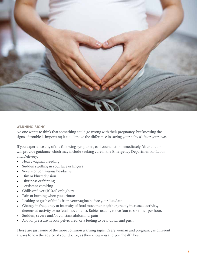

#### **WARNING SIGNS**

No one wants to think that something could go wrong with their pregnancy, but knowing the signs of trouble is important; it could make the difference in saving your baby's life or your own.

If you experience any of the following symptoms, call your doctor immediately. Your doctor will provide guidance which may include seeking care in the Emergency Department or Labor and Delivery.

- Heavy vaginal bleeding
- Sudden swelling in your face or fingers
- Severe or continuous headache
- Dim or blurred vision
- Dizziness or fainting
- Persistent vomiting
- Chills or fever (100.4° or higher)
- Pain or burning when you urinate
- Leaking or gush of fluids from your vagina before your due date
- Change in frequency or intensity of fetal movements (either greatly increased activity, decreased activity or no fetal movement). Babies usually move four to six times per hour.
- Sudden, severe and/or constant abdominal pain
- A lot of pressure in your pelvic area, or a feeling to bear down and push

These are just some of the more common warning signs. Every woman and pregnancy is different; always follow the advice of your doctor, as they know you and your health best.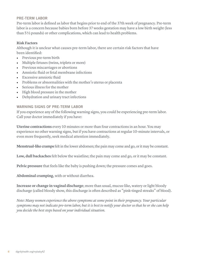#### **PRE-TERM LABOR**

Pre-term labor is defined as labor that begins prior to end of the 3 7th week of pregnancy. Pre-term labor is a concern because babies born before 37 weeks gestation may have a low birth weight (less than 5 ½ pounds) or other complications, which can lead to health problems.

#### **Risk Factors**

Although it is unclear what causes pre-term labor, there are certain risk factors that have been identified:

- Previous pre-term birth
- Multiple fetuses (twins, triplets or more)
- Previous miscarriages or abortions
- Amniotic fluid or fetal membrane infections
- Excessive amniotic fluid
- Problems or abnormalities with the mother's uterus or placenta
- Serious illness for the mother
- High blood pressure in the mother
- Dehydration and urinary tract infections

#### **WARNING SIGNS OF PRE-TERM LABOR**

If you experience any of the following warning signs, you could be experiencing pre-term labor. Call your doctor immediately if you have:

**Uterine contractions** every 10 minutes or more than four contractions in an hour. You may experience no other warning signs, but if you have contractions at regular 10-minute intervals, or even more frequently, seek medical attention immediately.

**Menstrual-like cramps** felt in the lower abdomen; the pain may come and go, or it may be constant.

**Low, dull backaches** felt below the waistline; the pain may come and go, or it may be constant.

**Pelvic pressure** that feels like the baby is pushing down; the pressure comes and goes.

**Abdominal cramping**, with or without diarrhea.

**Increase or change in vaginal discharge**; more than usual, mucus-like, watery or light bloody discharge (called bloody show, this discharge is often described as "pink-tinged streaks" of blood).

*Note: Many women experience the above symptoms at some point in their pregnancy. Your particular symptoms may not indicate pre-term labor, but it is best to notify your doctor so that he or she can help you decide the best steps based on your individual situation.*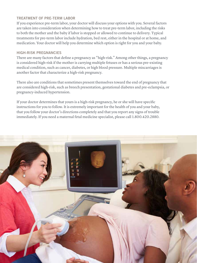#### **TREATMENT OF PRE-TERM LABOR**

If you experience pre-term labor, your doctor will discuss your options with you. Several factors are taken into consideration when determining how to treat pre-term labor, including the risks to both the mother and the baby if labor is stopped or allowed to continue to delivery. Typical treatments for pre-term labor include hydration, bed rest, either in the hospital or at home, and medication. Your doctor will help you determine which option is right for you and your baby.

#### **HIGH-RISK PREGNANCIES**

There are many factors that define a pregnancy as "high-risk." Among other things, a pregnancy is considered high-risk if the mother is carrying multiple fetuses or has a serious pre-existing medical condition, such as cancer, diabetes, or high blood pressure. Multiple miscarriages is another factor that characterize a high-risk pregnancy.

There also are conditions that sometimes present themselves toward the end of pregnancy that are considered high-risk, such as breech presentation, gestational diabetes and pre-eclampsia, or pregnancy-induced hypertension.

If your doctor determines that yours is a high-risk pregnancy, he or she will have specific instructions for you to follow. It is extremely important for the health of you and your baby, that you follow your doctor's directions completely and that you report any signs of trouble immediately. If you need a maternal fetal medicine specialist, please call 1.800.420.2 880.

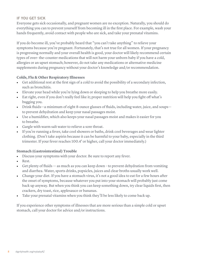#### **IF YOU GET SICK**

Everyone gets sick occasionally, and pregnant women are no exception. Naturally, you should do everything you can to prevent yourself from becoming ill in the first place. For example, wash your hands frequently, avoid contact with people who are sick, and take your prenatal vitamins.

If you do become ill, you've probably heard that "you can't take anything" to relieve your symptoms because you're pregnant. Fortunately, that's not true for all women. If your pregnancy is progressing normally and your overall health is good, your doctor will likely recommend certain types of over- the-counter medications that will not harm your unborn baby if you have a cold, allergies or an upset stomach; however, do not take any medications or alternative medicine supplements during pregnancy without your doctor's knowledge and/or recommendation.

#### **Colds, Flu & Other Respiratory Illnesses**

- Get additional rest at the first sign of a cold to avoid the possibility of a secondary infection, such as bronchitis.
- Elevate your head while you're lying down or sleeping to help you breathe more easily.
- Eat right, even if you don't really feel like it; proper nutrition will help you fight off what's bugging you.
- Drink fluids—a minimum of eight 8-ounce glasses of fluids, including water, juice, and soups to prevent dehydration and keep your nasal passages moist.
- Use a humidifier, which also keeps your nasal passages moist and makes it easier for you to breathe.
- Gargle with warm salt water to relieve a sore throat.
- If you're running a fever, take cool showers or baths, drink cool beverages and wear lighter clothing. (Don't take aspirin because it can be harmful to your baby, especially in the third trimester. If your fever reaches 100.4° or higher, call your doctor immediately.)

#### **Stomach (Gastrointestinal) Trouble**

- Discuss your symptoms with your doctor. Be sure to report any fever.
- Rest.
- Get plenty of fluids as much as you can keep down to prevent dehydration from vomiting and diarrhea. Water, sports drinks, popsicles, juices and clear broths usually work well.
- Change your diet. If you have a stomach virus, it's not a good idea to eat for a few hours after the onset of symptoms, because whatever you put into your stomach will probably just come back up anyway. But when you think you can keep something down, try clear liquids first, then crackers, dry toast, rice, applesauce or bananas.
- Take your prenatal vitamins when you think they'll be less likely to come back up.

If you experience other symptoms of illnesses that are more serious than a simple cold or upset stomach, call your doctor for advice and/or instructions.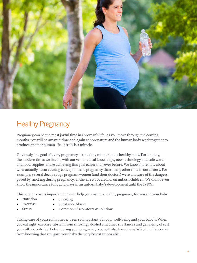

## Healthy Pregnancy

Pregnancy can be the most joyful time in a woman's life. As you move through the coming months, you will be amazed time and again at how nature and the human body work together to produce another human life. It truly is a miracle.

Obviously, the goal of every pregnancy is a healthy mother and a healthy baby. Fortunately, the modern times we live in, with our vast medical knowledge, new technology and safe water and food supplies, make achieving this goal easier than ever before. We know more now about what actually occurs during conception and pregnancy than at any other time in our history. For example, several decades ago pregnant women (and their doctors) were unaware of the dangers posed by smoking during pregnancy, or the effects of alcohol on unborn children. We didn't even know the importance folic acid plays in an unborn baby's development until the 1980s.

This section covers important topics to help you ensure a healthy pregnancy for you and your baby:

- Nutrition • Smoking
- **Exercise**
- Substance Abuse
- **Stress**
- Common Discomforts & Solutions

Taking care of yourself has never been so important, for your well-being and your baby's. When you eat right, exercise, abstain from smoking, alcohol and other substances and get plenty of rest, you will not only feel better during your pregnancy, you will also have the satisfaction that comes from knowing that you gave your baby the very best start possible.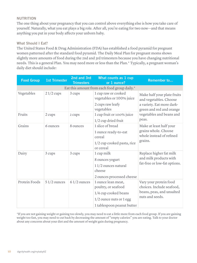#### **NUTRITION**

The one thing about your pregnancy that you can control above everything else is how you take care of yourself. Naturally, what you eat plays a big role. After all, you're eating for two now—and that means anything you put in your body affects your unborn baby.

#### **What Should I Eat?**

The United States Food & Drug Administration (FDA) has established a food pyramid for pregnant women patterned after the standard food pyramid. The Daily Meal Plan for pregnant moms shows slightly more amounts of food during the 2nd and 3rd trimesters because you have changing nutritional needs. This is a general Plan. You may need more or less than the Plan.\* Typically, a pregnant woman's daily diet should include:

| <b>Food Group</b>                            | <b>1st Trimester</b> | 2nd and 3rd<br><b>Trimesters</b> | <b>What counts as 1 cup</b><br>or 1 ounce?                                                                                     | <b>Remember to</b>                                                                                                                                  |  |
|----------------------------------------------|----------------------|----------------------------------|--------------------------------------------------------------------------------------------------------------------------------|-----------------------------------------------------------------------------------------------------------------------------------------------------|--|
| Eat this amount from each food group daily.* |                      |                                  |                                                                                                                                |                                                                                                                                                     |  |
| Vegetables                                   | $21/2$ cups          | 3 cups                           | 1 cup raw or cooked<br>vegetables or 100% juice<br>2 cups raw leafy<br>vegetables                                              | Make half your plate fruits<br>and vegetables. Choose<br>a variety. Eat more dark-<br>green and red and orange<br>vegetables and beans and<br>peas. |  |
| Fruits                                       | 2 cups               | 2 cups                           | 1 cup fruit or 100% juice<br>1/2 cup dried fruit                                                                               |                                                                                                                                                     |  |
| Grains                                       | 6 ounces             | 8 ounces                         | 1 slice of bread<br>1 ounce ready-to-eat<br>cereal<br>1/2 cup cooked pasta, rice<br>or cereal                                  | Make at least half your<br>grains whole. Choose<br>whole instead of refined<br>grains.                                                              |  |
| Dairy                                        | 3 cups               | 3 cups                           | 1 cup milk<br>8 ounces yogurt<br>$11/2$ ounces natural<br>cheese<br>2 ounces processed cheese                                  | Replace higher fat milk<br>and milk products with<br>fat-free or low-fat options.                                                                   |  |
| Protein Foods                                | $51/2$ ounces        | $61/2$ ounces                    | 1 ounce lean meat,<br>poultry, or seafood<br>1/4 cup cooked beans<br>$1/2$ ounce nuts or $1$ egg<br>1 tablespoon peanut butter | Vary your protein food<br>choices. Include seafood,<br>beans, peas, and unsalted<br>nuts and seeds.                                                 |  |

\*If you are not gaining weight or gaining too slowly, you may need to eat a little more from each food group. If you are gaining weight too fast, you may need to cut back by decreasing the amount of "empty calories" you are eating. Talk to your doctor about any concerns about your diet and the amount of weight gain during pregnancy.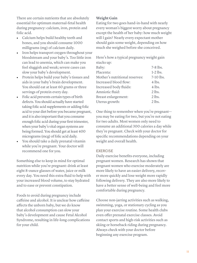There are certain nutrients that are absolutely essential for optimum maternal-fetal health during pregnancy: calcium, iron, protein and folic acid.

- Calcium helps build healthy teeth and bones, and you should consume 1000 milligrams (mg) of calcium daily.
- Iron helps transport oxygen throughout your bloodstream and your baby's. Too little iron can lead to anemia, which can make you feel sluggish and weak; severe cases can slow your baby's development.
- Protein helps build your baby's tissues and aids in your baby's brain development. You should eat at least 60 grams or three servings of protein every day.
- Folic acid prevents certain types of birth defects. You should actually have started taking folic acid supplements or adding folic acid to your diet before you became pregnant, and it is also important that you consume enough folic acid during your first trimester, when your baby's vital organ systems are being formed. You should get at least 400 micrograms (mcg) of folic acid daily.
- You should take a daily prenatal vitamin while you're pregnant. Your doctor will recommend one for you.

Something else to keep in mind for optimal nutrition while you're pregnant: drink at least eight 8-ounce glasses of water, juice or milk every day. You need this extra fluid to help with your increased blood volume, to stay hydrated and to ease or prevent constipation.

Foods to avoid during pregnancy include caffeine and alcohol. It is unclear how caffeine affects the unborn baby, but we do know that alcohol consumption can slow your baby's development and cause Fetal Alcohol Syndrome, resulting in life-long complications for your child.

#### **Weight Gain**

Eating for two goes hand-in-hand with nearly every woman's biggest worry about pregnancy except the health of her baby: how much weight will I gain? Nearly every expectant mother should gain some weight, depending on how much she weighed before she conceived.

Here's how a typical pregnancy weight gain stacks up:

| Baby:                          | 7-8 lbs.   |
|--------------------------------|------------|
| Placenta:                      | $1-2$ lbs. |
| Mother's nutritional reserves: | 7-10 lbs.  |
| Increased blood flow:          | 4 lbs.     |
| Increased body fluids:         | 4 lbs.     |
| Amniotic fluid:                | $2$ lbs.   |
| Breast enlargement:            | $2$ lbs.   |
| Uterus growth:                 | $2$ lbs.   |
|                                |            |

One thing to remember when you're pregnant you may be eating for two, but you're not eating for two adults. Most women only need to consume an additional 300 calories a day while they're pregnant. Check with your doctor for specific recommendations depending on your weight and overall health.

#### **EXERCISE**

Daily exercise benefits everyone, including pregnant women. Research has shown that pregnant women who exercise moderately are more likely to have an easier delivery, recover more quickly and lose weight more rapidly following delivery. They are also more likely to have a better sense of well-being and feel more comfortable during pregnancy.

Choose non-jarring activities such as walking, swimming, yoga, or stationary cycling as you plan your exercise routine. Some health clubs even offer prenatal exercise classes. Avoid contact sports and high-risk activities such as skiing or horseback riding during pregnancy. Always check with your doctor before beginning any exercise program.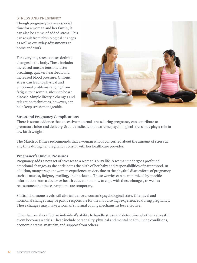#### **STRESS AND PREGNANCY**

Though pregnancy is a very special time for a woman and her family, it can also be a time of added stress. This can result from physiological changes as well as everyday adjustments at home and work.

For everyone, stress causes definite changes in the body. These include: increased muscle tension, faster breathing, quicker heartbeat, and increased blood pressure. Chronic stress can lead to physical and emotional problems ranging from fatigue to insomnia, ulcers to heart disease. Simple lifestyle changes and relaxation techniques, however, can help keep stress manageable.



#### **Stress and Pregnancy Complications**

There is some evidence that excessive maternal stress during pregnancy can contribute to premature labor and delivery. Studies indicate that extreme psychological stress may play a role in low birth weight.

The March of Dimes recommends that a woman who is concerned about the amount of stress at any time during her pregnancy consult with her healthcare provider.

#### **Pregnancy's Unique Pressures**

Pregnancy adds a new set of stresses to a woman's busy life. A woman undergoes profound emotional changes as she anticipates the birth of her baby and responsibilities of parenthood. In addition, many pregnant women experience anxiety due to the physical discomforts of pregnancy such as nausea, fatigue, swelling, and backache. These worries can be minimized by specific information from a doctor or health educator on how to cope with these changes, as well as reassurance that these symptoms are temporary.

Shifts in hormone levels will also influence a woman's psychological state. Chemical and hormonal changes may be partly responsible for the mood swings experienced during pregnancy. These changes may make a woman's normal coping mechanisms less effective.

Other factors also affect an individual's ability to handle stress and determine whether a stressful event becomes a crisis. These include personality, physical and mental health, living conditions, economic status, maturity, and support from others.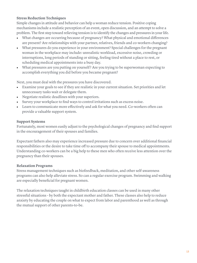#### **Stress Reduction Techniques**

Simple changes in attitude and behavior can help a woman reduce tension. Positive coping mechanisms include a realistic perception of an event, open discussion, and an attempt to solve a problem. The first step toward relieving tension is to identify the changes and pressures in your life.

- What changes are occurring because of pregnancy? What physical and emotional differences are present? Are relationships with your partner, relatives, friends and co-workers changing?
- What pressures do you experience in your environment? Special challenges for the pregnant woman in the workplace may include: unrealistic workload, excessive noise, crowding or interruptions, long periods of standing or sitting, feeling tired without a place to rest, or scheduling medical appointments into a busy day.
- What pressures are you putting on yourself? Are you trying to be superwoman expecting to accomplish everything you did before you became pregnant?

Next, you must deal with the pressures you have discovered.

- Examine your goals to see if they are realistic in your current situation. Set priorities and let unnecessary tasks wait or delegate them.
- Negotiate realistic deadlines with your superiors.
- Survey your workplace to find ways to control irritations such as excess noise.
- Learn to communicate more effectively and ask for what you need. Co-workers often can provide a valuable support system.

#### **Support Systems**

Fortunately, most women easily adjust to the psychological changes of pregnancy and find support in the encouragement of their spouses and families.

Expectant fathers also may experience increased pressure due to concern over additional financial responsibilities or the desire to take time off to accompany their spouse to medical appointments. Understanding co-workers can be a big help to these men who often receive less attention over the pregnancy than their spouses.

#### **Relaxation Programs**

Stress management techniques such as biofeedback, meditation, and other self-awareness programs can also help alleviate stress. So can a regular exercise program. Swimming and walking are especially beneficial for pregnant women.

The relaxation techniques taught in childbirth education classes can be used in many other stressful situations - by both the expectant mother and father. These classes also help to reduce anxiety by educating the couple on what to expect from labor and parenthood as well as through the mutual support of other parents-to-be.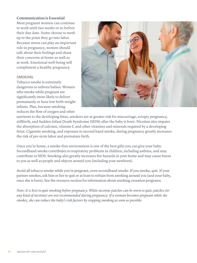#### **Communication is Essential**

Most pregnant women can continue to work until two weeks or so before their due date. Some choose to work up to the point they go into labor. Because stress can play an important role in pregnancy, women should talk about their feelings and share their concerns at home as well as at work. Emotional well-being will compliment a healthy pregnancy.

#### **SMOKING**

Tobacco smoke is extremely dangerous to unborn babies. Women who smoke while pregnant are significantly more likely to deliver prematurely or have low birth-weight infants. Plus, because smoking reduces the flow of oxygen and other



nutrients to the developing fetus, smokers are at greater risk for miscarriage, ectopic pregnancy, stillbirth, and Sudden Infant Death Syndrome (SIDS) after the baby is born. Nicotine also impairs the absorption of calcium, vitamin C and other vitamins and minerals required by a developing fetus. Cigarette smoking, and exposure to second hand smoke, during pregnancy greatly increases the risk of pre-term labor and premature birth.

Once you're home, a smoke-free environment is one of the best gifts you can give your baby. Secondhand smoke contributes to respiratory problems in children, including asthma, and may contribute to SIDS. Smoking also greatly increases fire hazards in your home and may cause burns to you as well as people and objects around you (including your newborn).

Avoid all tobacco smoke while you're pregnant, even secondhand smoke. If you smoke, quit. If your partner smokes, ask him or her to quit or at least to refrain from smoking around you (and your baby, once she is born). See the resource section for information about smoking cessation programs.

*Note: It is best to quit smoking before pregnancy. While nicotine patches can be worn to quit, patches (or any kind of nicotine) are not recommended during pregnancy. If a woman becomes pregnant while she smokes, she can reduce the baby's risk factors by stopping smoking as soon as possible.*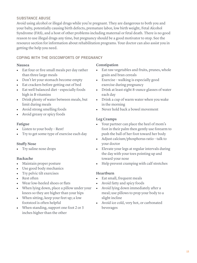#### **SUBSTANCE ABUSE**

Avoid using alcohol or illegal drugs while you're pregnant. They are dangerous to both you and your baby, potentially causing birth defects, premature labor, low birth weight, Fetal Alcohol Syndrome (FAS), and a host of other problems including maternal or fetal death. There is no good reason to use illegal drugs any time, but pregnancy should be a good motivator to stop. See the resource section for information about rehabilitation programs. Your doctor can also assist you in getting the help you need.

#### **COPING WITH THE DISCOMFORTS OF PREGNANCY**

#### **Nausea**

- Eat four or five small meals per day rather than three large meals
- Don't let your stomach become empty
- Eat crackers before getting out of bed
- Eat well balanced diet especially foods high in B vitamins
- Drink plenty of water between meals, but limit during meals
- Avoid strong smelling foods
- Avoid greasy or spicy foods

#### **Fatigue**

- Listen to your body Rest!
- Try to get some type of exercise each day

#### **Stuffy Nose**

• Try saline nose drops

#### **Backache**

- Maintain proper posture
- Use good body mechanics
- Try pelvic tilt exercises
- Rest often
- Wear low-heeled shoes or flats
- When lying down, place a pillow under your knees so they are higher than your hips
- When sitting, keep your feet up; a low footstool is often helpful
- When standing, support one foot 2 or 3 inches higher than the other

#### **Constipation**

- Eat raw vegetables and fruits, prunes, whole grain and bran cereals
- Exercise walking is especially good exercise during pregnancy
- Drink at least eight 8-ounce glasses of water each day
- Drink a cup of warm water when you wake in the morning
- Never hold back a bowel movement

#### **Leg Cramps**

- Your partner can place the heel of mom's foot in their palm then gently use forearm to push the ball of her foot toward her body
- Adjust calcium/phosphorus ratio talk to your doctor
- Elevate your legs at regular intervals during the day with your toes pointing up and toward your nose
- Help prevent cramping with calf stretches

#### **Heartburn**

- Eat small, frequent meals
- Avoid fatty and spicy foods
- Avoid lying down immediately after a meal; use pillows to prop your body to a slight incline
- Avoid ice cold, very hot, or carbonated beverages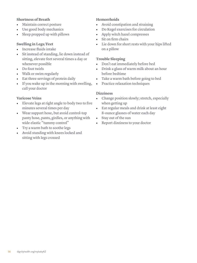#### **Shortness of Breath**

- Maintain correct posture
- Use good body mechanics
- Sleep propped up with pillows

#### **Swelling in Legs/Feet**

- Increase fluids intake
- Sit instead of standing, lie down instead of sitting, elevate feet several times a day or whenever possible
- Do foot twirls
- Walk or swim regularly
- Eat three servings of protein daily
- If you wake up in the morning with swelling, call your doctor

#### **Varicose Veins**

- Elevate legs at right angle to body two to five minutes several times per day
- Wear support hose, but avoid control-top panty hose, pants, girdles, or anything with wide elastic "tummy control"
- Try a warm bath to soothe legs
- Avoid standing with knees locked and sitting with legs crossed

#### **Hemorrhoids**

- Avoid constipation and straining
- Do Kegel exercises for circulation
- Apply witch hazel compresses
- Sit on firm chairs
- Lie down for short rests with your hips lifted on a pillow

#### **Trouble Sleeping**

- Don't eat immediately before bed
- Drink a glass of warm milk about an hour before bedtime
- Take a warm bath before going to bed
- Practice relaxation techniques

#### **Dizziness**

- Change position slowly; stretch, especially when getting up
- Eat regular meals and drink at least eight 8-ounce glasses of water each day
- Stay out of the sun
- Report dizziness to your doctor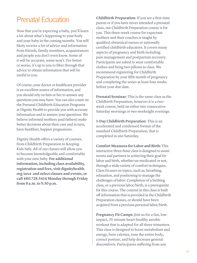## Prenatal Education

Now that you're expecting a baby, you'll learn a lot about what's happening to your body and your baby in the coming months. You will likely receive a lot of advice and information from friends, family members, acquaintances and people you don't even know. Some of it will be accurate, some won't. For better or worse, it's up to you to filter through that advice to obtain information that will be useful to you.

Of course, your doctor or healthcare provider is an excellent source of information, and you should rely on him or her to answer any questions you may have. You can also count on the Prenatal Childbirth Education Programs at Dignity Health to provide you with accurate information and to answer your questions. We believe informed mothers (and fathers) make better decisions about their care and in turn, have healthier, happier pregnancies.

Dignity Health offers a variety of courses, from Childbirth Preparation to Keeping Kids Safe. All of our classes will allow you to become knowledgeable and comfortable with your new baby. **For additional information, including class availability, registration and fees, visit dignityhealth. org/azce and select classes and events, or call 480.728.5414 Monday through Friday from 8 a.m. to 5:30 p.m.**

**Childbirth Preparation**: If you are a first-time parent or if you have never attended a prenatal class, our Childbirth Preparation course is for you. This three-week course for expectant mothers and their coaches is taught by qualified obstetrical nurses or nationally certified childbirth educators. It covers many aspects of pregnancy and birth including pain management and postpartum recovery. Participants are asked to wear comfortable clothes and bring two pillows to class. We recommend registering for Childbirth Preparation by your fifth month of pregnancy and completing the series at least four weeks before your due date.

**Prenatal Seminar**: This is the same class as the Childbirth Preparation, however it is a twoweek course, held on either two consecutive Saturday mornings or two weeknight evenings.

**1-Day Childbirth Preparation**: This is an accelerated and condensed format of the standard Childbirth Preparation, that is completed in one Saturday.

**Comfort Measures for Labor and Birth:** This interactive three-hour class is designed to assist moms and partners in achieving their goal for labor and birth, whether un-medicated or not, through a wide variety of comfort techniques. Class focuses on topics, such as, breathing, relaxation, and positioning to manage the challenges of labor. Completion of a birthing class, or a previous labor/birth, is a prerequisite for this course. The content in this class is built off information that is provided in the Childbirth Preparation classes, or should have been acquired from a previous personal labor/birth.

**Pregnancy Fit Camps:** Join us for a fun, lowimpact, 35-minute heart-healthy aerobic workout that is adapted for all three trimesters. This class is designed to boost metabolism and energy, burn calories, tone the entire body, correct posture, and help decrease general discomforts. Participants suffering from any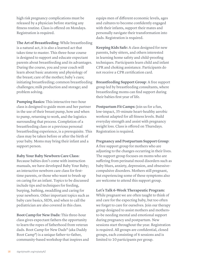high risk pregnancy complications must be released by a physician before starting any fitness routine. Class is offered on Mondays. Registration is required.

**The Art of Breastfeeding**: While breastfeeding is a natural act, it is also a learned act that takes time to master. This three-hour course is designed to support and educate expectant parents about breastfeeding and its advantages. During the course, you and your coach will learn about basic anatomy and physiology of the breast; care of the mother; baby's cues; initiating breastfeeding; common breastfeeding challenges; milk production and storage; and problem solving.

**Pumping Basics:** This interactive two-hour class is designed to guide mom and her partner in the use of their breast pump, how and when to pump, returning to work, and the logistics surrounding that process. Completion of a breastfeeding class or a previous personal breastfeeding experience, is a prerequisite. This class may be taken before or after the birth of your baby. Moms may bring their infant and a support person.

#### **Baby Your Baby Newborn Care Class**:

Because babies don't come with instruction manuals, we have developed Baby Your Baby; an interactive newborn care class for firsttime parents, or those who want to brush up on caring for an infant. Topics to be discussed include tips and techniques for feeding, burping, bathing, swaddling and caring for your newborn. Other important topics such as baby care basics, SIDS, and when to call the pediatrician are also covered in this class.

**Boot Camp for New Dads:** This three-hour class gives expectant fathers the opportunity to learn the ropes of fatherhood from veteran dads. Boot Camp for New Dads® (aka Daddy Boot Camp®) is a unique father-to-father, community-based workshop that inspires and equips men of different economic levels, ages and cultures to become confidently engaged with their infants, support their mates and personally navigate their transformation into dads. Registration is required.

**Keeping Kids Safe:** A class designed for new parents, baby sitters, and others interested in learning home safety and child-proofing techniques. Participants learn child and infant CPR and choking assistance. Participants do not receive a CPR certification card.

**Breastfeeding Support Group**: A free support group led by breastfeeding consultants, where breastfeeding moms can find support during their babies first year of life.

**Postpartum Fit Camps:** Join us for a fun, low-impact, 35-minute heart-healthy aerobic workout adapted for all fitness levels. Build everyday strength and assist with pregnancy weight loss. Class is offered on Thursdays. Registration is required.

#### **Pregnancy and Postpartum Support Group**:

A free support group for mothers who are adjusting to the changes occurring in their lives. The support group focuses on moms who are suffering from perinatal mood disorders such as baby blues, anxiety, depression, and obsessivecompulsive disorders. Mothers still pregnant, but experiencing some of these symptoms also are welcome to attend this support group.

#### **Let's Talk 6-Week Therapeutic Program:**

While pregnant we are often taught to think of and care for the expecting baby, but too often we forget to care for ourselves. Join our therapy group designed to assist mothers and mothersto-be needing mental and emotional support during pregnancy and postpartum. New sessions start throughout the year. Registration is required. All groups are confidential, closed groups, each consisting of 6 sessions and is limited to 10 participants per group.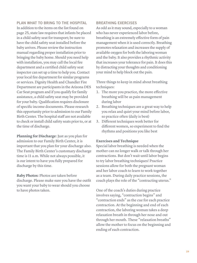**PLAN WHAT TO BRING TO THE HOSPITAL**  In addition to the items on the list found on page 25, state law requires that infants be placed in a child safety seat for transport; be sure to have the child safety seat installed before the baby arrives. Please review the instruction manual regarding proper installation prior to bringing the baby home. Should you need help with installation, you may call the local fire department and a certified child safety seat inspector can set up a time to help you. Contact your local fire department for similar programs or services. Dignity Health and Chandler Fire Department are participants in the Arizona DES Car Seat program and if you qualify for family assistance, a child safety seat may be provided for your baby. Qualification requires disclosure of specific income documents. Please research this opportunity prior to admission to our Family Birth Center. The hospital staff are not available to check or install child safety seats prior to, or at the time of discharge.

**Planning for Discharge**: Just as you plan for admission to our Family Birth Center, it is important that you plan for your discharge also. The Family Birth Center's customary discharge time is 11 a.m. While not always possible, it is our intent to have you fully prepared for discharge by this time.

**Baby Photos**: Photos are taken before discharge. Please make sure you have the outfit you want your baby to wear should you choose to have photos taken.

#### **BREATHING EXERCISES**

As odd as it may sound, especially to a woman who has never experienced labor before, breathing is an extremely effective form of pain management when it is used correctly. Breathing promotes relaxation and increases the supply of available oxygen for both the laboring woman and the baby. It also provides a rhythmic activity that increases your tolerance for pain. It does this by distracting your thoughts and conditioning your mind to help block out the pain.

Three things to keep in mind about breathing techniques:

- 1. The more you practice, the more effective breathing will be as pain management during labor
- 2. Breathing techniques are a great way to help you relax and quiet your mind before labor, so practice often (daily is best)
- 3. Different techniques work better for different women, so experiment to find the rhythms and positions you like best

#### **Exercises and Technique**

Special labor breathing is needed when the mother can no longer walk or talk through her contractions. But don't wait until labor begins to try labor breathing techniques! Practice sessions allow for both the pregnant woman and her labor coach to learn to work together as a team. During daily practice sessions, the coach plays the role of the "contracting uterus."

One of the coach's duties during practice involves saying, "contraction begins" and "contraction ends" as the cue for each practice contraction. At the beginning and end of each contraction, the laboring woman takes a deep relaxation breath in through her nose and out through her mouth. These "relaxation breaths" allow the mother to focus on the beginning and ending of each contraction.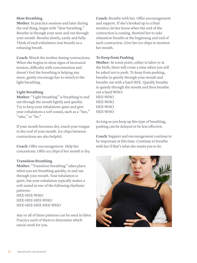#### **Slow Breathing**

**Mother**: In practice sessions and later during the real thing, begin with "slow breathing." Breathe in through your nose and out through your mouth. Breathe slowly, easily and fully. Think of each exhalation (out breath) as a releasing breath.

**Coach**: Watch the mother during contractions. When she begins to show signs of increased tension, difficulty with concentration and doesn't feel the breathing is helping any more, gently encourage her to switch to the light breathing.

#### **Light Breathing**

**Mother**: "Light breathing" is breathing in and out through the mouth lightly and quickly. Try to keep your inhalations quiet and give your exhalations a soft sound, such as a "hee," "who," or "ho."

If your mouth becomes dry, touch your tongue to the roof of your mouth. Ice chips between contractions are also helpful.

**Coach**: Offer encouragement. Help her concentrate. Offer ice chips if her mouth is dry.

#### **Transition Breathing**

**Mother**: "Transition breathing" takes place when you are breathing quickly, in and out through your mouth. Your inhalation is quiet, but your exhalation typically makes a soft sound in one of the following rhythmic patterns: HEE-HEE-WHO HEE-HEE-HEE-WHO HEE-HEE-HEE-HEE-WHO

Any or all of these patterns can be used in labor. Practice each of them to determine which one(s) work for you.

**Coach**: Breathe with her. Offer encouragement and support. If she's hooked up to a fetal monitor, let her know when the end of the contraction is coming. Remind her to take relaxation breaths at the beginning and end of each contraction. Give her ice chips to moisten her mouth.

#### **To Keep from Pushing**

**Mother**: At some point, either in labor or at the birth, there will come a time when you will be asked not to push. To keep from pushing, breathe in quietly through your mouth and breathe out with a hard HEE. Quickly breathe in quietly through the mouth and then breathe out a hard WHO: HEE-WHO HEE-WHO

HEE-WHO HEE-WHO

As long as you keep up this type of breathing, pushing can be delayed or be less effective.

**Coach**: Support and encouragement continue to be important at this time. Continue to breathe with her if that's what she wants you to do.

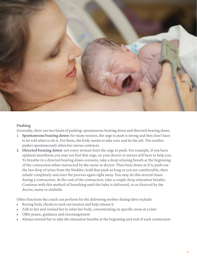

#### **Pushing**

Generally, there are two kinds of pushing: spontaneous bearing down and directed bearing down.

- 1. **Spontaneous bearing down**: for many women, the urge to push is strong and they don't have to be told when to do it. For them, the body seems to take over and do the job. The mother pushes spontaneously when her uterus contracts.
- 2. **Directed bearing down**: not every woman feels the urge to push. For example, if you have epidural anesthesia you may not feel that urge, so your doctor or nurses will have to help you. To breathe in a directed bearing down scenario, take a deep relaxing breath at the beginning of the contraction when instructed by the nurse or doctor. Then bear down as if to push out the last drop of urine from the bladder; hold that push as long as you are comfortable, then exhale completely and start the process again right away. You may do this several times during a contraction. At the end of the contraction, take a couple deep relaxation breaths. Continue with this method of breathing until the baby is delivered, or as directed by the doctor, nurse or midwife.

Other functions the coach can perform for the delivering mother during labor include:

- Roving body checks to seek out tension and help release it
- Talk to her and remind her to relax her body, concentrating on specific areas at a time
- Offer praise, guidance and encouragement
- Always remind her to take the relaxation breaths at the beginning and end of each contraction.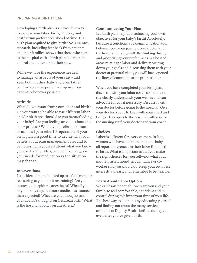#### **PREPARING A BIRTH PLAN**

Developing a birth plan is an excellent way to express your labor, birth, recovery and postpartum preferences ahead of time. Is a birth plan required to give birth? No. Our own research, including feedback from patients and their families, shows that those who come to the hospital with a birth plan feel more in control and better about their stay.

While we have the experience needed to manage all aspects of your stay – and keep both mother, baby and even father comfortable – we prefer to empower our patients whenever possible.

#### **Attitude**

What do you want from your labor and birth? Do you want to be able to use different labor and/or birth positions? Are you breastfeeding your baby? Are you feeling anxious about the labor process? Would you prefer maximum or minimal pain relief ? Preparation of your birth plan is a good time to decide what your beliefs about pain management are, and to be honest with yourself about what you know you can handle. Also, be open to changes in your needs for medication as the situation may change.

#### **Interventions**

Is the idea of being hooked up to a fetal monitor reassuring to you or is it restraining? Are you interested in epidural anesthesia? What if you or your baby requires more medical assistance than expected? What are your thoughts and your doctor's thoughts on Cesarean birth? What is the hospital's policy on anesthesia?

#### **Communicating Your Plan**

Is a birth plan helpful at achieving your own objectives for your baby's birth? Absolutely, because it functions as a communication tool between you, your partner, your doctor and the hospital nursing staff. By thinking through and prioritizing your preferences in a host of areas relating to labor and delivery, writing down your goals and discussing them with your doctor at prenatal visits, you will have opened the lines of communication prior to labor.

When you have completed your birth plan, discuss it with your labor coach so that he or she clearly understands your wishes and can advocate for you if necessary. Discuss it with your doctor before going to the hospital. Give your doctor a copy to keep with your chart and bring extra copies to the hospital with you for the nursing staff, your doctor and your coach.

#### **Choices**

Labor is different for every woman. In fact, women who have had more than one baby all report differences in their labor from birth to birth. What is important is that you make the right choices for yourself—not what your mother, sister, friend, acquaintance or coworker said you should do. Keep your own best interests at heart, and remember to be flexible.

#### **Learn About Labor Options**

We can't say it enough – we want you and your family to feel comfortable, confident and in control during this important time of your life. The best way to do that is by educating yourself and finding out about the many services available at Dignity Health before, during and even after you've given birth.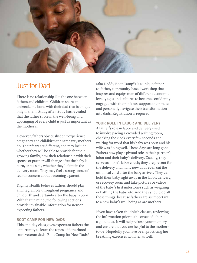

## Just for Dad

There is no relationship like the one between fathers and children. Children share an unbreakable bond with their dad that is unique only to them. Study after study has revealed that the father's role in the well-being and upbringing of every child is just as important as the mother's.

However, fathers obviously don't experience pregnancy and childbirth the same way mothers do. Their fears are different, and may include whether they will be able to provide for their growing family, how their relationship with their spouse or partner will change after the baby is born, or possibly whether they'll faint in the delivery room. They may feel a strong sense of fear or concern about becoming a parent.

Dignity Health believes fathers should play an integral role throughout pregnancy and childbirth and certainly after the baby is born. With that in mind, the following sections provide invaluable information for new or expecting fathers.

#### **BOOT CAMP FOR NEW DADS**

This one-day class gives expectant fathers the opportunity to learn the ropes of fatherhood from veteran dads. Boot Camp for New Dads®

(aka Daddy Boot Camp®) is a unique fatherto-father, community-based workshop that inspires and equips men of different economic levels, ages and cultures to become confidently engaged with their infants, support their mates and personally navigate their transformation into dads. Registration is required.

#### **YOUR ROLE IN LABOR AND DELIVERY**

A father's role in labor and delivery used to involve pacing a crowded waiting room, checking the clock every few seconds and waiting for word that his baby was born and his wife was doing well. Those days are long gone. Fathers now play a pivotal role in their partner's labor and their baby's delivery. Usually, they serve as mom's labor coach; they are present for the delivery and many new dads even cut the umbilical cord after the baby arrives. They can hold their baby right away in the labor, delivery, or recovery room and take pictures or videos of the baby's first milestones such as weighing or bathing the baby, etc. And they should do all these things, because fathers are as important to a new baby's well being as are mothers.

If you have taken childbirth classes, reviewing the information prior to the onset of labor is a good idea. It will help refresh your memory and ensure that you are helpful to the motherto-be. Hopefully you have been practicing her breathing exercises with her as well.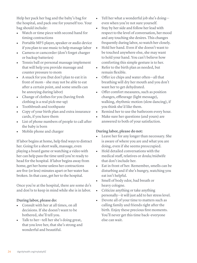Help her pack her bag and the baby's bag for the hospital, and pack one for yourself too. Your bag should include:

- Watch or time piece with second hand for timing contractions
- Portable MP3 player, speaker or audio device if you plan to use music to help manage labor
- Camera or camcorder (don't forget charger or backup batteries)
- Tennis ball or personal massage implement that will help you provide massage and counter pressure to mom
- A snack for you (but don't plan to eat it in front of mom – she may not be able to eat after a certain point, and some smells can be annoying during labor)
- Change of clothes for you (having fresh clothing is a real pick-me-up)
- Toothbrush and toothpaste
- Copy of your birth plan and extra insurance cards, if you have them
- List of phone numbers of people to call after the baby is born
- Mobile phone and charger

If labor begins at home, help find ways to distract her. Going for a short walk, massage, even playing a board game or watching a video with her can help pass the time until you're ready to head for the hospital. If labor begins away from home, get her home unless her contractions are five (or less) minutes apart or her water has broken. In that case, get her to the hospital.

Once you're at the hospital, there are some do's and don'ts to keep in mind while she is in labor.

#### **During labor, please do:**

- Consult with her at all times, on all decisions. If she doesn't want to be bothered, she'll tell you.
- Talk to her—tell her she's doing great, that you love her, that she's strong and wonderful and beautiful.
- Tell her what a wonderful job she's doing even when you're not sure yourself.
- Stay by her side and follow her lead with respect to the level of conversation, her mood and any touching she desires. This changes frequently during labor, so watch her closely.
- Hold her hand. Even if she doesn't want to be touched anywhere else, she may want to hold your hand. You can't believe how comforting this simple gesture is to her.
- Refer to the birth plan as needed, but remain flexible.
- Offer ice chips and water often—all that breathing will dry her mouth and you don't want her to get dehydrated.
- Offer comfort measures, such as position changes, effleurage (light message), walking, rhythmic motion (slow dancing), if you think she'd like them.
- Remind her to use the bathroom every hour.
- Make sure her questions (and yours) are answered to both of your satisfaction.

#### **During labor, please do not:**

- Leave her for any longer than necessary. She is aware of where you are and what you are doing, even if she seems preoccupied.
- Hold detailed conversations with the medical staff, relatives or doula/midwife that don't include her.
- Eat in front of her. Remember, smells can be disturbing and if she's hungry, watching you eat isn't helpful.
- Smell of body odor, bad breath or heavy cologne.
- Criticize anything or take anything personally—it will just add to her stress level.
- Devote all of your time to matters such as calling family and friends right after the birth. Enjoy these precious first moments. You'll never get this time back-everyone else can wait.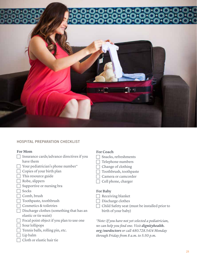![](_page_30_Picture_0.jpeg)

#### **HOSPITAL PREPARATION CHECKLIST**

#### **For Mom**

- $\Box$  Insurance cards/advance directives if you have them
- $\Box$  Your pediatrician's phone number\*
- $\Box$  Copies of your birth plan
- $\Box$  This resource guide
- $\Box$  Robe, slippers
- $\Box$  Supportive or nursing bra
- $\Box$  Socks
- $\Box$  Comb, brush
- $\Box$  Toothpaste, toothbrush
- $\Box$  Cosmetics & toiletries
- $\Box$  Discharge clothes (something that has an elastic or tie waist)
- $\Box$  Focal point object if you plan to use one
- $\Box$  Sour lollipops
- $\Box$  Tennis balls, rolling pin, etc.
- $\Box$  Lip balm
- $\Box$  Cloth or elastic hair tie

#### **For Coach**

- $\Box$  Snacks, refreshments
- $\Box$  Telephone numbers
- $\Box$  Change of clothing
- $\Box$  Toothbrush, toothpaste
- F Camera or camcorder
- Cell phone, charger

#### **For Baby**

- $\Box$  Receiving blanket
- $\Box$  Discharge clothes
- $\Box$  Child Safety seat (must be installed prior to birth of your baby)

*\*Note: If you have not yet selected a pediatrician, we can help you find one. Visit dignityhealth. org/ourdoctors or call 480.728.5414 Monday through Friday from 8 a.m. to 5:30 p.m.*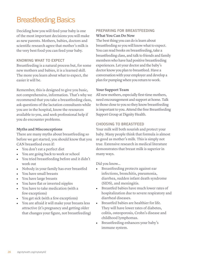## Breastfeeding Basics

Deciding how you will feed your baby is one of the most important decisions you will make as new parents. Mothers, babies, doctors and scientific research agree that mother's milk is the very best food you can feed your baby.

#### **KNOWING WHAT TO EXPECT**

Breastfeeding is a natural process but, for some new mothers and babies, it is a learned skill. The more you learn about what to expect, the easier it will be.

Remember, this is designed to give you basic, not comprehensive, information. That's why we recommend that you take a breastfeeding class, ask questions of the lactation consultants while you are in the hospital, know the resources available to you, and seek professional help if you do encounter problems.

#### **Myths and Misconceptions**

There are many myths about breastfeeding so before we get started, you should know that you CAN breastfeed even if:

- You don't eat a perfect diet
- You are going back to work or school
- You tried breastfeeding before and it didn't work out
- Nobody in your family has ever breastfed
- You have small breasts
- You have large breasts
- You have flat or inverted nipples
- You have to take medication (with a few exceptions)
- You get sick (with a few exceptions)
- You are afraid it will make your breasts less attractive (it's pregnancy and getting older that changes your figure, not breastfeeding)

#### **PREPARING FOR BREASTFEEDING What You Can Do Now**

The best thing you can do is learn about breastfeeding so you will know what to expect. You can read books on breastfeeding, take a breastfeeding class, and talk to friends and family members who have had positive breastfeeding experiences. Let your doctor and the baby's doctor know you plan to breastfeed. Have a conversation with your employer and develop a plan for pumping when you return to work.

#### **Your Support Team**

All new mothers, especially first-time mothers, need encouragement and support at home. Talk to those close to you so they know breastfeeding is important to you. Attend the free Breastfeeding Support Group at Dignity Health.

#### **CHOOSING TO BREASTFEED**

Your milk will both nourish and protect your baby. Many people think that formula is almost as good as mother's milk. This is simply not true. Extensive research in medical literature demonstrates that breast milk is superior in many ways.

Did you know…

- Breastfeeding protects against ear infections, bronchitis, pneumonia, diarrhea, sudden infant death syndrome (SIDS), and meningitis.
- Breastfed babies have much lower rates of hospitalization due to severe respiratory and diarrheal diseases.
- Breastfed babies are healthier for life. They will have lower rates of diabetes, colitis, osteoporosis, Crohn's disease and childhood lymphomas.
- Breastfeeding enhances your baby's immune system.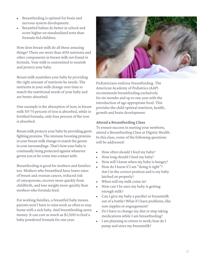- Breastfeeding is optimal for brain and nervous system development.
- Breastfed babies do better in school and score higher on standardized tests than formula-fed children.

How does breast milk do all these amazing things? There are more than 400 nutrients and other components in breast milk not found in formula. Your milk is customized to nourish and protect your baby.

Breast milk nourishes your baby by providing the right amount of nutrients he needs. The nutrients in your milk change over time to match the nutritional needs of your baby and are better absorbed.

One example is the absorption of iron; in breast milk 50-75 percent of iron is absorbed, while in fortified formula, only four percent of the iron is absorbed.

Breast milk protects your baby by providing germ fighting proteins. The immune boosting proteins in your breast milk change to match the germs in your surroundings. That's how your baby is continually being protected against whatever germs you or he come into contact with.

Breastfeeding is good for mothers and families too. Mothers who breastfeed have lower rates of breast and ovarian cancer, reduced risk of osteoporosis, recover more quickly from childbirth, and lose weight more quickly than mothers who formula feed.

For working families, a breastfed baby means parents won't have to miss work as often to stay home with a sick baby. And breastfeeding saves money. It can cost as much as \$1,500 to feed a baby powdered formula for one year.

![](_page_32_Picture_8.jpeg)

Pediatricians endorse breastfeeding. The American Academy of Pediatrics (AAP) recommends breastfeeding exclusively for six months and up to one year with the introduction of age appropriate food. This provides the child optimal nutrition, health, growth and brain development.

#### **Attend a Breastfeeding Class**

To ensure success in nursing your newborn, attend a Breastfeeding Class at Dignity Health. In this class, some of the following questions will be addressed:

- How often should I feed my baby?
- How long should I feed my baby?
- How will I know when my baby is hungry?
- How do I know if I am "doing it right"? Am I in the correct position and is my baby latched on properly?
- When will my milk come in?
- How can I be sure my baby is getting enough milk?
- Can I give my baby a pacifier or breastmilk out of a bottle? What if I have problems, like sore nipples or engorgement?
- Do I have to change my diet or stop taking medications while I am breastfeeding?
- I am planning to return to work; how do I pump and store my breastmilk?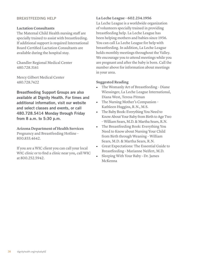#### **BREASTFEEDING HELP**

#### **Lactation Consultants**

The Maternal Child Health nursing staff are specially trained to assist with breastfeeding. If additional support is required International Board Certified Lactation Consultants are available during the hospital stay.

Chandler Regional Medical Center 480.728.3161

Mercy Gilbert Medical Center 480.728.7422

**Breastfeeding Support Groups are also available at Dignity Health. For times and additional information, visit our website and select classes and events, or call 480.728.5414 Monday through Friday from 8 a.m. to 5:30 p.m.**

**Arizona Department of Health Services** Pregnancy and Breastfeeding Hotline – 800.833.4642.

If you are a WIC client you can call your local WIC clinic or to find a clinic near you, call WIC at 800.252.5942.

#### **La Leche League – 602.234.1956**

La Leche League is a worldwide organization of volunteers specially trained in providing breastfeeding help. La Leche League has been helping mothers and babies since 1956. You can call La Leche League for help with breastfeeding. In addition, La Leche League holds monthly meetings throughout the Valley. We encourage you to attend meetings while you are pregnant and after the baby is born. Call the number above for information about meetings in your area.

#### **Suggested Reading**

- The Womanly Art of Breastfeeding Diane Wiessinger, La Leche League International, Diana West, Teresa Pitman
- The Nursing Mother's Companion Kathleen Huggins, R.N., M.S.
- The Baby Book: Everything You Need to Know About Your Baby from Birth to Age Two – William Sears, M.D. & Martha Sears, R.N.
- The Breastfeeding Book: Everything You Need to Know about Nursing Your Child from Birth through Weaning – William Sears, M.D. & Martha Sears, R.N.
- Great Expectations: The Essential Guide to Breastfeeding - Marianne Neifert, M.D.
- Sleeping With Your Baby Dr. James McKenna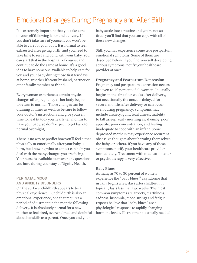## Emotional Changes During Pregnancy and After Birth

It is extremely important that you take care of yourself following labor and delivery. If you don't take care of yourself, you won't be able to care for your baby. It is normal to feel exhausted after giving birth, and you need to take time to rest and bond with your baby. You can start that in the hospital, of course, and continue to do the same at home. It's a good idea to have someone available to help care for you and your baby during those first few days at home, whether it's your husband, partner or other family member or friend.

Every woman experiences certain physical changes after pregnancy as her body begins to return to normal. Those changes can be draining at times as well, so be sure to follow your doctor's instructions and give yourself time to heal (it took you nearly ten months to have your baby, so don't expect to get back to normal overnight).

There is no way to predict how you'll feel either physically or emotionally after your baby is born, but knowing what to expect can help you deal with the many changes you are facing. Your nurse is available to answer any questions you have during your stay at Dignity Health.

#### **PERINATAL MOOD AND ANXIETY DISORDERS**

On the surface, childbirth appears to be a physical experience. But childbirth is also an emotional experience, one that requires a period of adjustment in the months following delivery. It is absolutely normal for a new mother to feel tired, overwhelmed and doubtful about her skills as a parent. Once you and your

baby settle into a routine and you're not so tired, you'll find that you can cope with all of these new changes.

Still, you may experience some true postpartum emotional symptoms. Some of them are described below. If you find yourself developing serious symptoms, notify your healthcare provider at once.

**Pregnancy and Postpartum Depression** Pregnancy and postpartum depression occurs in seven to 10 percent of all women. It usually begins in the first four weeks after delivery, but occasionally the onset is delayed for several months after delivery or can occur even during pregnancy. Symptoms may include anxiety, guilt, tearfulness, inability to fall asleep, early morning awakening, poor appetite, poor concentration, and feeling inadequate to cope with an infant. Some depressed mothers may experience recurrent obsessive thoughts about harming themselves, the baby, or others. If you have any of these symptoms, notify your healthcare provider immediately. Treatment with medication and/ or psychotherapy is very effective.

#### **Baby Blues**

As many as 70 to 80 percent of women experience the "baby blues," a syndrome that usually begins a few days after childbirth. It typically lasts less than two weeks. The most common symptoms are anxiety, tearfulness, sadness, insomnia, mood swings and fatigue. Experts believe that "baby blues" are a physiological response to rapidly changing hormone levels. No treatment is usually needed.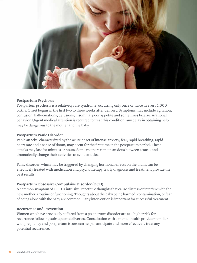![](_page_35_Picture_0.jpeg)

#### **Postpartum Psychosis**

Postpartum psychosis is a relatively rare syndrome, occurring only once or twice in every 1,000 births. Onset begins in the first two to three weeks after delivery. Symptoms may include agitation, confusion, hallucinations, delusions, insomnia, poor appetite and sometimes bizarre, irrational behavior. Urgent medical attention is required to treat this condition; any delay in obtaining help may be dangerous to the mother and the baby.

#### **Postpartum Panic Disorder**

Panic attacks, characterized by the acute onset of intense anxiety, fear, rapid breathing, rapid heart rate and a sense of doom, may occur for the first time in the postpartum period. These attacks may last for minutes or hours. Some mothers remain anxious between attacks and dramatically change their activities to avoid attacks.

Panic disorder, which may be triggered by changing hormonal effects on the brain, can be effectively treated with medication and psychotherapy. Early diagnosis and treatment provide the best results.

#### **Postpartum Obsessive Compulsive Disorder (OCD)**

A common symptom of OCD is intrusive, repetitive thoughts that cause distress or interfere with the new mother's routine or functioning. Thoughts about the baby being harmed, contamination, or fear of being alone with the baby are common. Early intervention is important for successful treatment.

#### **Recurrence and Prevention**

Women who have previously suffered from a postpartum disorder are at a higher risk for recurrence following subsequent deliveries. Consultation with a mental health provider familiar with pregnancy and postpartum issues can help to anticipate and more effectively treat any potential recurrence.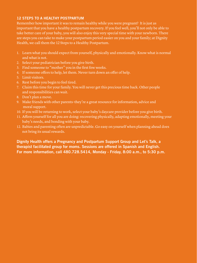#### **12 STEPS TO A HEALTHY POSTPARTUM**

Remember how important it was to remain healthy while you were pregnant? It is just as important that you have a healthy postpartum recovery. If you feel well, you'll not only be able to take better care of your baby, you will also enjoy this very special time with your newborn. There are steps you can take to make your postpartum period easier on you and your family; at Dignity Health, we call them the 12 Steps to a Healthy Postpartum.

- 1. Learn what you should expect from yourself, physically and emotionally. Know what is normal and what is not.
- 2. Select your pediatrician before you give birth.
- 3. Find someone to "mother" you in the first few weeks.
- 4. If someone offers to help, let them. Never turn down an offer of help.
- 5. Limit visitors.
- 6. Rest before you begin to feel tired.
- 7. Claim this time for your family. You will never get this precious time back. Other people and responsibilities can wait.
- 8. Don't plan a move.
- 9. Make friends with other parents–they're a great resource for information, advice and moral support.
- 10. If you will be returning to work, select your baby's daycare provider before you give birth.
- 11. Affirm yourself for all you are doing: recovering physically, adapting emotionally, meeting your baby's needs, and bonding with your baby.
- 12. Babies and parenting often are unpredictable. Go easy on yourself when planning ahead does not bring its usual rewards.

**Dignity Health offers a Pregnancy and Postpartum Support Group and Let's Talk, a therapist facilitated group for moms. Sessions are offered in Spanish and English. For more information, call 480.728.5414, Monday - Friday, 8:00 a.m., to 5:30 p.m.**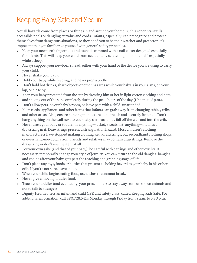## Keeping Baby Safe and Secure

Not all hazards come from places or things in and around your home, such as open stairwells, accessible pools or dangling curtains and cords. Infants, especially, can't recognize and protect themselves from dangerous situations, so they need you to be their watcher and protector. It's important that you familiarize yourself with general safety principles.

- Keep your newborn's fingernails and toenails trimmed with a nail cutter designed especially for infants. This will keep your child from accidentally scratching him or herself, especially while asleep.
- Always support your newborn's head, either with your hand or the device you are using to carry your child.
- Never shake your baby.
- Hold your baby while feeding, and never prop a bottle.
- Don't hold hot drinks, sharp objects or other hazards while your baby is in your arms, on your lap, or close by.
- Keep your baby protected from the sun by dressing him or her in light cotton clothing and hats, and staying out of the sun completely during the peak hours of the day (10 a.m. to 3 p.m.).
- Don't allow pets in your baby's room, or leave pets with a child, unattended.
- Keep cords, appliances and other items that infants can grab away from changing tables, cribs and other areas. Also, ensure hanging mobiles are out of reach and securely fastened. Don't hang anything on the wall next to your baby's crib as it may fall off the wall and into the crib.
- Never dress your baby or toddler in anything—jacket, sweatshirt, anything—that has a drawstring in it. Drawstrings present a strangulation hazard. Most children's clothing manufacturers have stopped making clothing with drawstrings, but secondhand clothing shops or even hand-me-downs from friends and relatives may contain drawstrings. Remove the drawstring or don't use the item at all.
- For your own sake (and that of your baby), be careful with earrings and other jewelry. If necessary, temporarily change your style of jewelry. You can return to the old dangles, bangles and chains after your baby gets past the reaching and grabbing stage of life!
- Don't place any toys, foods or bottles that present a choking hazard to your baby in his or her crib. If you're not sure, leave it out.
- When your child begins eating food, use dishes that cannot break.
- Never give a moving toddler food.
- Teach your toddler (and eventually, your preschooler) to stay away from unknown animals and not to talk to strangers.
- Dignity Health offers an infant and child CPR and safety class, called Keeping Kids Safe. For additional information, call 480.728.5414 Monday through Friday from 8 a.m. to 5:30 p.m.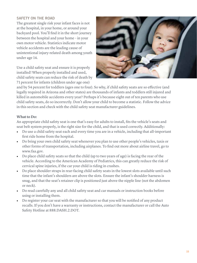#### **SAFETY ON THE ROAD**

The greatest single risk your infant faces is not at the hospital, in your home, or around your backyard pool. You'll find it in the short journey between the hospital and your home – in your own motor vehicle. Statistics indicate motor vehicle accidents are the leading cause of unintentional injury-related death among youth under age 14.

Use a child safety seat and ensure it is properly installed! When properly installed and used, child safety seats can reduce the risk of death by 7 1 percent for infants (children under age one)

![](_page_38_Picture_3.jpeg)

and by 54 percent for toddlers (ages one to four). So why, if child safety seats are so effective (and legally required in Arizona and other states) are thousands of infants and toddlers still injured and killed in automobile accidents every year? Perhaps it's because eight out of ten parents who use child safety seats, do so incorrectly. Don't allow your child to become a statistic. Follow the advice in this section and check with the child safety seat manufacturer guidelines.

#### **What to Do:**

An appropriate child safety seat is one that's easy for adults to install, fits the vehicle's seats and seat belt system properly, is the right size for the child, and that is used correctly. Additionally:

- Do use a child safety seat each and every time you are in a vehicle, including that all-important first ride home from the hospital.
- Do bring your own child safety seat whenever you plan to use other people's vehicles, taxis or other forms of transportation, including airplanes. To find out more about airline travel, go to www.faa.gov.
- Do place child safety seats so that the child (up to two years of age) is facing the rear of the vehicle. According to the American Academy of Pediatrics, this can greatly reduce the risk of cervical spine injuries, if the car your child is riding in crashes.
- Do place shoulder straps in rear-facing child safety seats in the lowest slots available until such time that the infant's shoulders are above the slots. Ensure the infant's shoulder harness is snug, and that the seat's retainer clip is positioned just above the nipple line (not the abdomen or neck).
- Do read carefully any and all child safety seat and car manuals or instruction books before using or installing them.
- Do register your car seat with the manufacturer so that you will be notified of any product recalls. If you don't have a warranty or instructions, contact the manufacturer or call the Auto Safety Hotline at 888.DASH.2.DOT.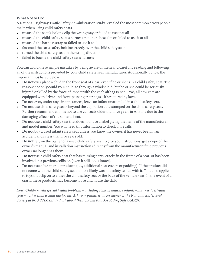#### **What Not to Do:**

A National Highway Traffic Safety Administration study revealed the most common errors people make when using child safety seats.

- misused the seat's locking clip the wrong way or failed to use it at all
- misused the child safety seat's harness-retainer chest clip or failed to use it at all
- misused the harness strap or failed to use it at all
- fastened the car's safety belt incorrectly over the child safety seat
- turned the child safety seat in the wrong direction
- failed to buckle the child safety seat's harness

You can avoid these simple mistakes by being aware of them and carefully reading and following all of the instructions provided by your child safety seat manufacturer. Additionally, follow the important tips listed below:

- **Do not** ever place a child in the front seat of a car, even if he or she is in a child safety seat. The reason: not only could your child go through a windshield, but he or she could be seriously injured or killed by the force of impact with the car's airbag (since 1998, all new cars are equipped with driver and front-passenger air bags—it's required by law).
- **Do not** ever, under any circumstances, leave an infant unattended in a child safety seat.
- **Do not** use child safety seats beyond the expiration date stamped on the child safety seat. Further recommendation is not to use car seats older than five years in Arizona due to the damaging effects of the sun and heat.
- **Do not** use a child safety seat that does not have a label giving the name of the manufacturer and model number. You will need this information to check on recalls.
- **Do not** buy a used infant safety seat unless you know the owner, it has never been in an accident and is less than five years old.
- **Do not** rely on the owner of a used child safety seat to give you instructions; get a copy of the owner's manual and installation instructions directly from the manufacturer if the previous owner no longer has them.
- **Do not** use a child safety seat that has missing parts, cracks in the frame of a seat, or has been involved in a previous collision (even it still looks intact).
- **Do not** use after-market products (i.e., additional seat covers or padding). If the product did not come with the child safety seat it most likely was not safety tested with it. This also applies to toys that clip on to either the child safety seat or the back of the vehicle seat. In the event of a crash, these products may become loose and injure the child.

*Note: Children with special health problems – including some premature infants – may need restraint systems other than a child safety seat. Ask your pediatrician for advice or the National Easter Seal Society at 800.221.6827 and ask about their Special Kids Are Riding Safe (KARS*).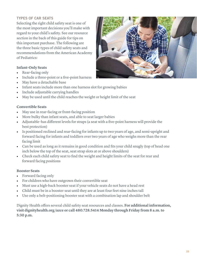#### **TYPES OF CAR SEATS**

Selecting the right child safety seat is one of the most important decisions you'll make with regard to your child's safety. See our resource section in the back of this guide for tips on this important purchase. The following are the three basic types of child safety seats and recommendations from the American Academy of Pediatrics:

#### **Infant-Only Seats**

- Rear-facing only
- Include a three-point or a five-point harness
- May have a detachable base
- Infant seats include more than one harness slot for growing babies
- Include adjustable carrying handles
- May be used until the child reaches the weight or height limit of the seat

#### **Convertible Seats**

- May use in rear-facing or front-facing position
- More bulky than infant seats, and able to seat larger babies
- Adjustable–has different levels for straps (a seat with a five-point harness will provide the best protection)
- Is positioned reclined and rear-facing for infants up to two years of age, and semi-upright and forward facing for infants and toddlers over two years of age who weighs more than the rear facing limit
- Can be used as long as it remains in good condition and fits your child snugly (top of head one inch below the top of the seat, seat strap slots at or above shoulders)
- Check each child safety seat to find the weight and height limits of the seat for rear and forward facing positions

#### **Booster Seats**

- Forward facing only
- For children who have outgrown their convertible seat
- Must use a high-back booster seat if your vehicle seats do not have a head rest
- Child must be in a booster seat until they are at least four feet nine inches tall
- Use only a belt-positioning booster seat with a combination lap and shoulder belt

Dignity Health offers several child safety seat resources and classes. **For additional information, visit dignityhealth.org/azce or call 480.728.5414 Monday through Friday from 8 a.m. to 5:30 p.m.**

![](_page_40_Picture_23.jpeg)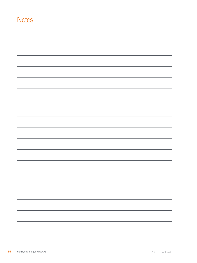### **Notes**

| ___                      |
|--------------------------|
|                          |
| $\overline{\phantom{a}}$ |
|                          |
|                          |
|                          |
| ___                      |
|                          |
|                          |
|                          |